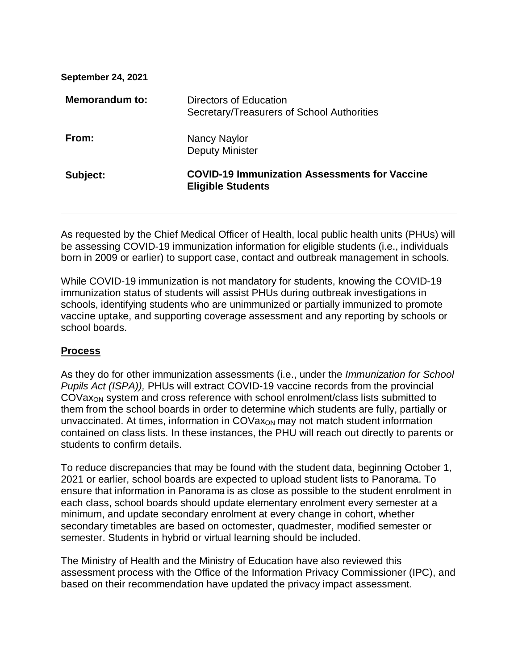| <b>September 24, 2021</b> |                                                                                  |
|---------------------------|----------------------------------------------------------------------------------|
| Memorandum to:            | Directors of Education<br>Secretary/Treasurers of School Authorities             |
| From:                     | <b>Nancy Naylor</b><br><b>Deputy Minister</b>                                    |
| Subject:                  | <b>COVID-19 Immunization Assessments for Vaccine</b><br><b>Eligible Students</b> |
|                           |                                                                                  |

As requested by the Chief Medical Officer of Health, local public health units (PHUs) will be assessing COVID-19 immunization information for eligible students (i.e., individuals born in 2009 or earlier) to support case, contact and outbreak management in schools.

While COVID-19 immunization is not mandatory for students, knowing the COVID-19 immunization status of students will assist PHUs during outbreak investigations in schools, identifying students who are unimmunized or partially immunized to promote vaccine uptake, and supporting coverage assessment and any reporting by schools or school boards.

## **Process**

As they do for other immunization assessments (i.e., under the *Immunization for School Pupils Act (ISPA)),* PHUs will extract COVID-19 vaccine records from the provincial COVaxON system and cross reference with school enrolment/class lists submitted to them from the school boards in order to determine which students are fully, partially or unvaccinated. At times, information in  $COVax<sub>ON</sub>$  may not match student information contained on class lists. In these instances, the PHU will reach out directly to parents or students to confirm details.

To reduce discrepancies that may be found with the student data, beginning October 1, 2021 or earlier, school boards are expected to upload student lists to Panorama. To ensure that information in Panorama is as close as possible to the student enrolment in each class, school boards should update elementary enrolment every semester at a minimum, and update secondary enrolment at every change in cohort, whether secondary timetables are based on octomester, quadmester, modified semester or semester. Students in hybrid or virtual learning should be included.

The Ministry of Health and the Ministry of Education have also reviewed this assessment process with the Office of the Information Privacy Commissioner (IPC), and based on their recommendation have updated the privacy impact assessment.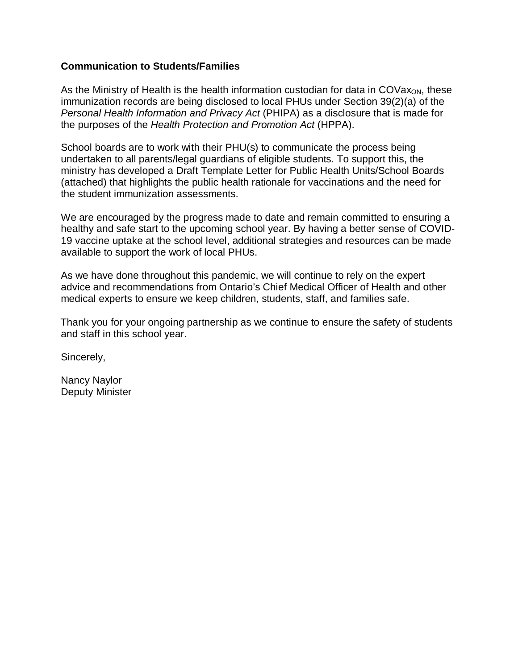## **Communication to Students/Families**

As the Ministry of Health is the health information custodian for data in  $COVax<sub>ON</sub>$ , these immunization records are being disclosed to local PHUs under Section 39(2)(a) of the *Personal Health Information and Privacy Act* (PHIPA) as a disclosure that is made for the purposes of the *Health Protection and Promotion Act* (HPPA).

School boards are to work with their PHU(s) to communicate the process being undertaken to all parents/legal guardians of eligible students. To support this, the ministry has developed a Draft Template Letter for Public Health Units/School Boards (attached) that highlights the public health rationale for vaccinations and the need for the student immunization assessments.

We are encouraged by the progress made to date and remain committed to ensuring a healthy and safe start to the upcoming school year. By having a better sense of COVID-19 vaccine uptake at the school level, additional strategies and resources can be made available to support the work of local PHUs.

As we have done throughout this pandemic, we will continue to rely on the expert advice and recommendations from Ontario's Chief Medical Officer of Health and other medical experts to ensure we keep children, students, staff, and families safe.

Thank you for your ongoing partnership as we continue to ensure the safety of students and staff in this school year.

Sincerely,

Nancy Naylor Deputy Minister